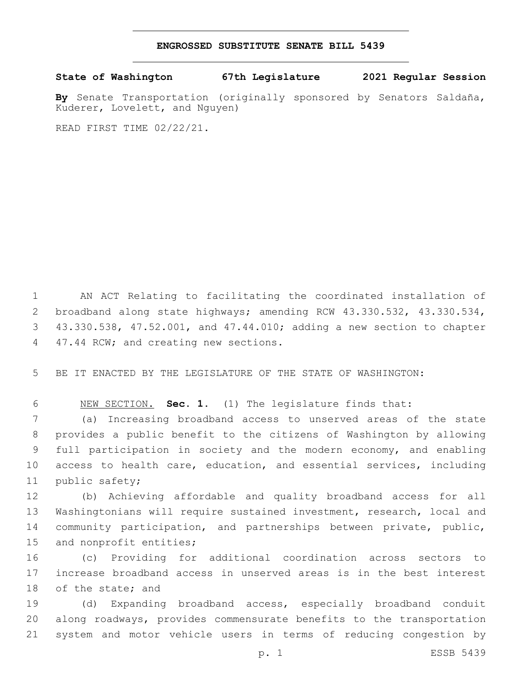## **ENGROSSED SUBSTITUTE SENATE BILL 5439**

**State of Washington 67th Legislature 2021 Regular Session**

**By** Senate Transportation (originally sponsored by Senators Saldaña, Kuderer, Lovelett, and Nguyen)

READ FIRST TIME 02/22/21.

 AN ACT Relating to facilitating the coordinated installation of broadband along state highways; amending RCW 43.330.532, 43.330.534, 43.330.538, 47.52.001, and 47.44.010; adding a new section to chapter 4 47.44 RCW; and creating new sections.

BE IT ENACTED BY THE LEGISLATURE OF THE STATE OF WASHINGTON:

NEW SECTION. **Sec. 1.** (1) The legislature finds that:

 (a) Increasing broadband access to unserved areas of the state provides a public benefit to the citizens of Washington by allowing full participation in society and the modern economy, and enabling access to health care, education, and essential services, including 11 public safety;

 (b) Achieving affordable and quality broadband access for all Washingtonians will require sustained investment, research, local and community participation, and partnerships between private, public, 15 and nonprofit entities;

 (c) Providing for additional coordination across sectors to increase broadband access in unserved areas is in the best interest 18 of the state; and

 (d) Expanding broadband access, especially broadband conduit along roadways, provides commensurate benefits to the transportation system and motor vehicle users in terms of reducing congestion by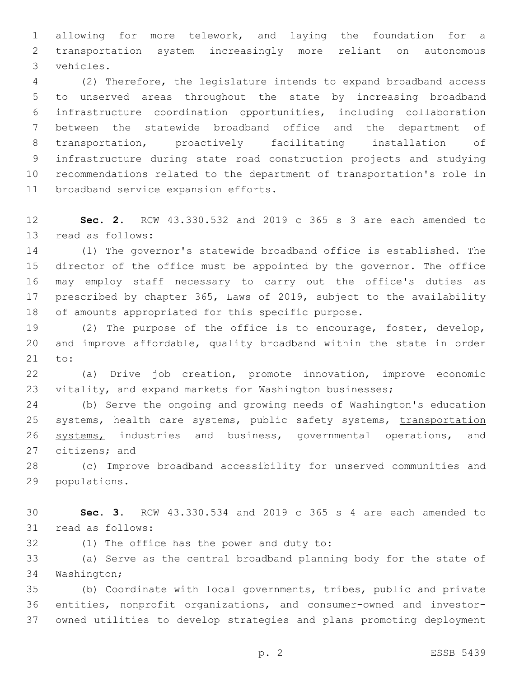allowing for more telework, and laying the foundation for a transportation system increasingly more reliant on autonomous vehicles.3

 (2) Therefore, the legislature intends to expand broadband access to unserved areas throughout the state by increasing broadband infrastructure coordination opportunities, including collaboration between the statewide broadband office and the department of transportation, proactively facilitating installation of infrastructure during state road construction projects and studying recommendations related to the department of transportation's role in 11 broadband service expansion efforts.

 **Sec. 2.** RCW 43.330.532 and 2019 c 365 s 3 are each amended to 13 read as follows:

 (1) The governor's statewide broadband office is established. The director of the office must be appointed by the governor. The office may employ staff necessary to carry out the office's duties as prescribed by chapter 365, Laws of 2019, subject to the availability of amounts appropriated for this specific purpose.

 (2) The purpose of the office is to encourage, foster, develop, and improve affordable, quality broadband within the state in order 21 to:

 (a) Drive job creation, promote innovation, improve economic vitality, and expand markets for Washington businesses;

 (b) Serve the ongoing and growing needs of Washington's education 25 systems, health care systems, public safety systems, transportation 26 systems, industries and business, governmental operations, and 27 citizens; and

 (c) Improve broadband accessibility for unserved communities and 29 populations.

 **Sec. 3.** RCW 43.330.534 and 2019 c 365 s 4 are each amended to 31 read as follows:

32 (1) The office has the power and duty to:

 (a) Serve as the central broadband planning body for the state of 34 Washington;

 (b) Coordinate with local governments, tribes, public and private entities, nonprofit organizations, and consumer-owned and investor-owned utilities to develop strategies and plans promoting deployment

p. 2 ESSB 5439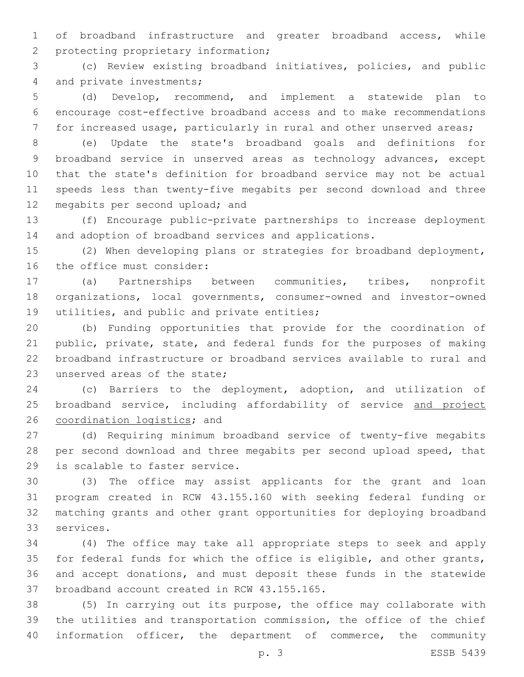of broadband infrastructure and greater broadband access, while 2 protecting proprietary information;

 (c) Review existing broadband initiatives, policies, and public 4 and private investments;

 (d) Develop, recommend, and implement a statewide plan to encourage cost-effective broadband access and to make recommendations for increased usage, particularly in rural and other unserved areas;

 (e) Update the state's broadband goals and definitions for broadband service in unserved areas as technology advances, except that the state's definition for broadband service may not be actual speeds less than twenty-five megabits per second download and three 12 megabits per second upload; and

 (f) Encourage public-private partnerships to increase deployment and adoption of broadband services and applications.

 (2) When developing plans or strategies for broadband deployment, 16 the office must consider:

 (a) Partnerships between communities, tribes, nonprofit organizations, local governments, consumer-owned and investor-owned 19 utilities, and public and private entities;

 (b) Funding opportunities that provide for the coordination of public, private, state, and federal funds for the purposes of making broadband infrastructure or broadband services available to rural and 23 unserved areas of the state;

 (c) Barriers to the deployment, adoption, and utilization of 25 broadband service, including affordability of service and project 26 coordination logistics; and

 (d) Requiring minimum broadband service of twenty-five megabits per second download and three megabits per second upload speed, that 29 is scalable to faster service.

 (3) The office may assist applicants for the grant and loan program created in RCW 43.155.160 with seeking federal funding or matching grants and other grant opportunities for deploying broadband 33 services.

 (4) The office may take all appropriate steps to seek and apply for federal funds for which the office is eligible, and other grants, and accept donations, and must deposit these funds in the statewide 37 broadband account created in RCW 43.155.165.

 (5) In carrying out its purpose, the office may collaborate with the utilities and transportation commission, the office of the chief information officer, the department of commerce, the community

p. 3 ESSB 5439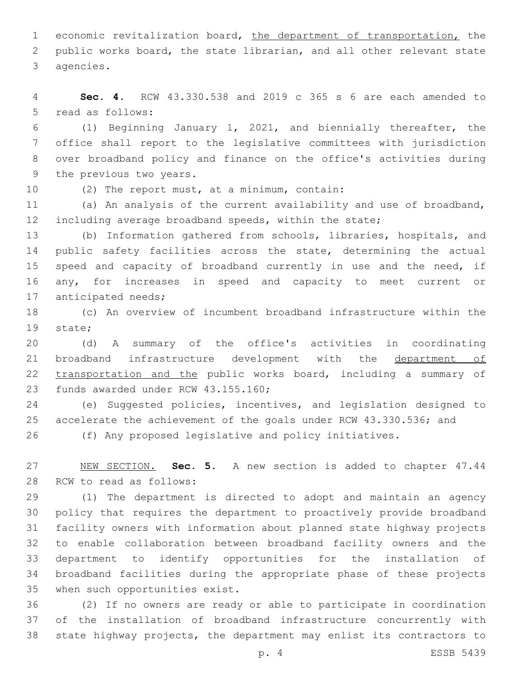1 economic revitalization board, the department of transportation, the public works board, the state librarian, and all other relevant state 3 agencies.

 **Sec. 4.** RCW 43.330.538 and 2019 c 365 s 6 are each amended to 5 read as follows:

 (1) Beginning January 1, 2021, and biennially thereafter, the office shall report to the legislative committees with jurisdiction over broadband policy and finance on the office's activities during 9 the previous two years.

10 (2) The report must, at a minimum, contain:

 (a) An analysis of the current availability and use of broadband, including average broadband speeds, within the state;

 (b) Information gathered from schools, libraries, hospitals, and 14 public safety facilities across the state, determining the actual 15 speed and capacity of broadband currently in use and the need, if any, for increases in speed and capacity to meet current or 17 anticipated needs;

 (c) An overview of incumbent broadband infrastructure within the 19 state;

 (d) A summary of the office's activities in coordinating broadband infrastructure development with the department of 22 transportation and the public works board, including a summary of 23 funds awarded under RCW 43.155.160;

 (e) Suggested policies, incentives, and legislation designed to 25 accelerate the achievement of the goals under RCW 43.330.536; and

(f) Any proposed legislative and policy initiatives.

 NEW SECTION. **Sec. 5.** A new section is added to chapter 47.44 28 RCW to read as follows:

 (1) The department is directed to adopt and maintain an agency policy that requires the department to proactively provide broadband facility owners with information about planned state highway projects to enable collaboration between broadband facility owners and the department to identify opportunities for the installation of broadband facilities during the appropriate phase of these projects 35 when such opportunities exist.

 (2) If no owners are ready or able to participate in coordination of the installation of broadband infrastructure concurrently with state highway projects, the department may enlist its contractors to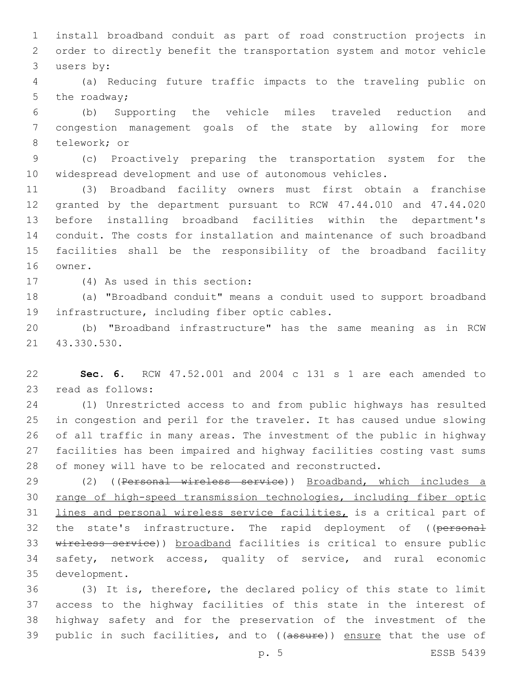install broadband conduit as part of road construction projects in order to directly benefit the transportation system and motor vehicle 3 users by:

 (a) Reducing future traffic impacts to the traveling public on 5 the roadway;

 (b) Supporting the vehicle miles traveled reduction and congestion management goals of the state by allowing for more 8 telework; or

 (c) Proactively preparing the transportation system for the widespread development and use of autonomous vehicles.

 (3) Broadband facility owners must first obtain a franchise granted by the department pursuant to RCW 47.44.010 and 47.44.020 before installing broadband facilities within the department's conduit. The costs for installation and maintenance of such broadband facilities shall be the responsibility of the broadband facility 16 owner.

17 (4) As used in this section:

 (a) "Broadband conduit" means a conduit used to support broadband 19 infrastructure, including fiber optic cables.

 (b) "Broadband infrastructure" has the same meaning as in RCW 21 43.330.530.

 **Sec. 6.** RCW 47.52.001 and 2004 c 131 s 1 are each amended to 23 read as follows:

 (1) Unrestricted access to and from public highways has resulted in congestion and peril for the traveler. It has caused undue slowing of all traffic in many areas. The investment of the public in highway facilities has been impaired and highway facilities costing vast sums of money will have to be relocated and reconstructed.

 (2) ((Personal wireless service)) Broadband, which includes a range of high-speed transmission technologies, including fiber optic lines and personal wireless service facilities, is a critical part of 32 the state's infrastructure. The rapid deployment of ((personal wireless service)) broadband facilities is critical to ensure public safety, network access, quality of service, and rural economic 35 development.

 (3) It is, therefore, the declared policy of this state to limit access to the highway facilities of this state in the interest of highway safety and for the preservation of the investment of the 39 public in such facilities, and to ((assure)) ensure that the use of

p. 5 ESSB 5439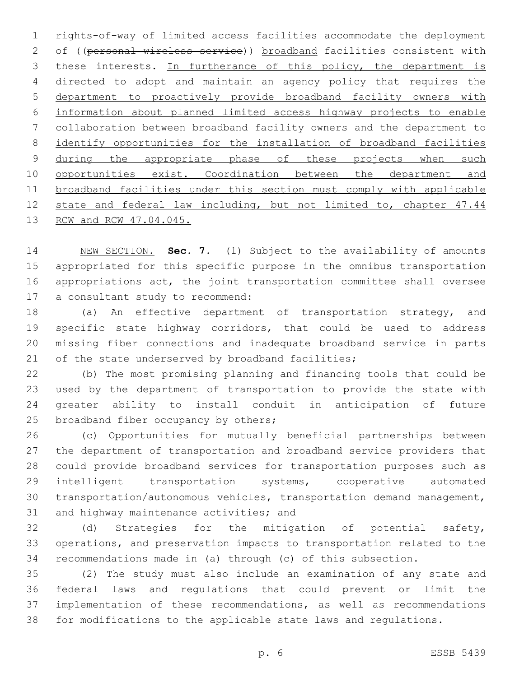rights-of-way of limited access facilities accommodate the deployment 2 of ((personal wireless service)) broadband facilities consistent with 3 these interests. In furtherance of this policy, the department is directed to adopt and maintain an agency policy that requires the department to proactively provide broadband facility owners with information about planned limited access highway projects to enable collaboration between broadband facility owners and the department to identify opportunities for the installation of broadband facilities 9 during the appropriate phase of these projects when such 10 opportunities exist. Coordination between the department and broadband facilities under this section must comply with applicable state and federal law including, but not limited to, chapter 47.44 RCW and RCW 47.04.045.

 NEW SECTION. **Sec. 7.** (1) Subject to the availability of amounts appropriated for this specific purpose in the omnibus transportation appropriations act, the joint transportation committee shall oversee a consultant study to recommend:

18 (a) An effective department of transportation strategy, and specific state highway corridors, that could be used to address missing fiber connections and inadequate broadband service in parts 21 of the state underserved by broadband facilities;

 (b) The most promising planning and financing tools that could be used by the department of transportation to provide the state with greater ability to install conduit in anticipation of future 25 broadband fiber occupancy by others;

 (c) Opportunities for mutually beneficial partnerships between the department of transportation and broadband service providers that could provide broadband services for transportation purposes such as intelligent transportation systems, cooperative automated transportation/autonomous vehicles, transportation demand management, 31 and highway maintenance activities; and

 (d) Strategies for the mitigation of potential safety, operations, and preservation impacts to transportation related to the recommendations made in (a) through (c) of this subsection.

 (2) The study must also include an examination of any state and federal laws and regulations that could prevent or limit the implementation of these recommendations, as well as recommendations for modifications to the applicable state laws and regulations.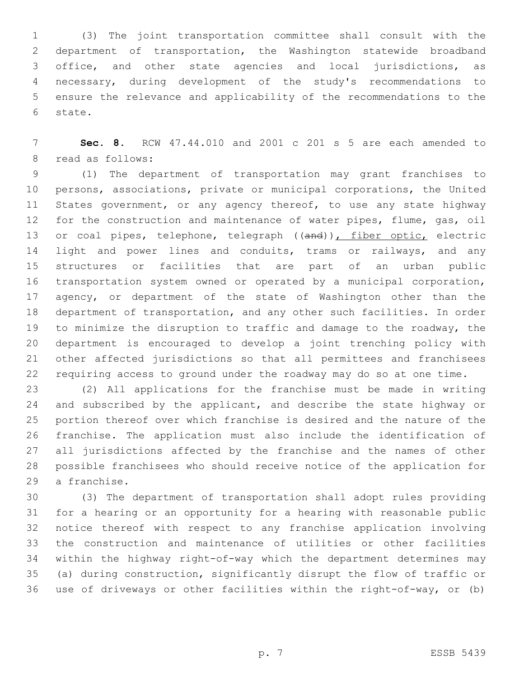(3) The joint transportation committee shall consult with the department of transportation, the Washington statewide broadband office, and other state agencies and local jurisdictions, as necessary, during development of the study's recommendations to ensure the relevance and applicability of the recommendations to the 6 state.

 **Sec. 8.** RCW 47.44.010 and 2001 c 201 s 5 are each amended to 8 read as follows:

 (1) The department of transportation may grant franchises to persons, associations, private or municipal corporations, the United 11 States government, or any agency thereof, to use any state highway for the construction and maintenance of water pipes, flume, gas, oil 13 or coal pipes, telephone, telegraph ((and)), fiber optic, electric 14 light and power lines and conduits, trams or railways, and any structures or facilities that are part of an urban public transportation system owned or operated by a municipal corporation, agency, or department of the state of Washington other than the department of transportation, and any other such facilities. In order to minimize the disruption to traffic and damage to the roadway, the department is encouraged to develop a joint trenching policy with other affected jurisdictions so that all permittees and franchisees requiring access to ground under the roadway may do so at one time.

 (2) All applications for the franchise must be made in writing 24 and subscribed by the applicant, and describe the state highway or portion thereof over which franchise is desired and the nature of the franchise. The application must also include the identification of all jurisdictions affected by the franchise and the names of other possible franchisees who should receive notice of the application for 29 a franchise.

 (3) The department of transportation shall adopt rules providing for a hearing or an opportunity for a hearing with reasonable public notice thereof with respect to any franchise application involving the construction and maintenance of utilities or other facilities within the highway right-of-way which the department determines may (a) during construction, significantly disrupt the flow of traffic or use of driveways or other facilities within the right-of-way, or (b)